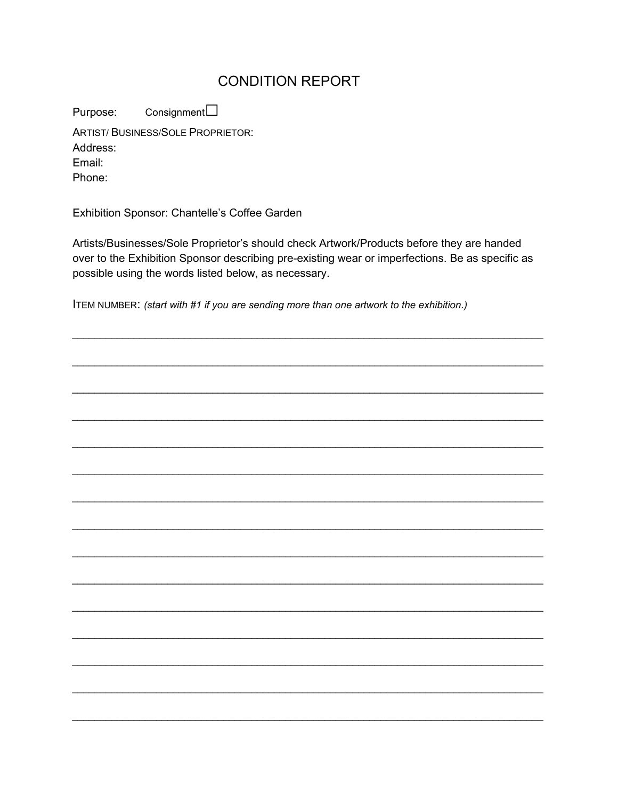## **CONDITION REPORT**

Consignment  $\square$ Purpose: **ARTIST/BUSINESS/SOLE PROPRIETOR:** Address:

Email:

Phone:

Exhibition Sponsor: Chantelle's Coffee Garden

Artists/Businesses/Sole Proprietor's should check Artwork/Products before they are handed over to the Exhibition Sponsor describing pre-existing wear or imperfections. Be as specific as possible using the words listed below, as necessary.

ITEM NUMBER: (start with #1 if you are sending more than one artwork to the exhibition.)